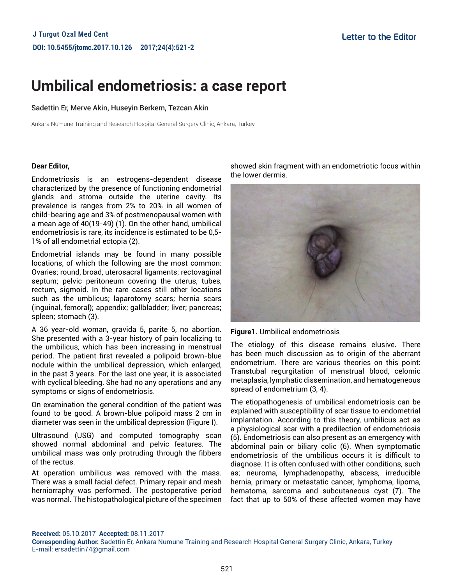# **Umbilical endometriosis: a case report**

### Sadettin Er, Merve Akin, Huseyin Berkem, Tezcan Akin

Ankara Numune Training and Research Hospital General Surgery Clinic, Ankara, Turkey

#### **Dear Editor,**

Endometriosis is an estrogens-dependent disease characterized by the presence of functioning endometrial glands and stroma outside the uterine cavity. Its prevalence is ranges from 2% to 20% in all women of child-bearing age and 3% of postmenopausal women with a mean age of 40(19-49) (1). On the other hand, umbilical endometriosis is rare, its incidence is estimated to be 0,5- 1% of all endometrial ectopia (2).

Endometrial islands may be found in many possible locations, of which the following are the most common: Ovaries; round, broad, uterosacral ligaments; rectovaginal septum; pelvic peritoneum covering the uterus, tubes, rectum, sigmoid. In the rare cases still other locations such as the umblicus; laparotomy scars; hernia scars (inguinal, femoral); appendix; gallbladder; liver; pancreas; spleen; stomach (3).

A 36 year-old woman, gravida 5, parite 5, no abortion. She presented with a 3-year history of pain localizing to the umbilicus, which has been increasing in menstrual period. The patient first revealed a polipoid brown-blue nodule within the umbilical depression, which enlarged, in the past 3 years. For the last one year, it is associated with cyclical bleeding. She had no any operations and any symptoms or signs of endometriosis.

On examination the general condition of the patient was found to be good. A brown-blue polipoid mass 2 cm in diameter was seen in the umbilical depression (Figure I).

Ultrasound (USG) and computed tomography scan showed normal abdominal and pelvic features. The umbilical mass was only protruding through the fibbers of the rectus.

At operation umbilicus was removed with the mass. There was a small facial defect. Primary repair and mesh herniorraphy was performed. The postoperative period was normal. The histopathological picture of the specimen showed skin fragment with an endometriotic focus within the lower dermis.



**Figure1.** Umbilical endometriosis

The etiology of this disease remains elusive. There has been much discussion as to origin of the aberrant endometrium. There are various theories on this point: Transtubal regurgitation of menstrual blood, celomic metaplasia, lymphatic dissemination, and hematogeneous spread of endometrium (3, 4).

The etiopathogenesis of umbilical endometriosis can be explained with susceptibility of scar tissue to endometrial implantation. According to this theory, umbilicus act as a physiological scar with a predilection of endometriosis (5). Endometriosis can also present as an emergency with abdominal pain or biliary colic (6). When symptomatic endometriosis of the umbilicus occurs it is difficult to diagnose. It is often confused with other conditions, such as; neuroma, lymphadenopathy, abscess, irreducible hernia, primary or metastatic cancer, lymphoma, lipoma, hematoma, sarcoma and subcutaneous cyst (7). The fact that up to 50% of these affected women may have

**Received:** 05.10.2017 **Accepted:** 08.11.2017

**Corresponding Author:** Sadettin Er, Ankara Numune Training and Research Hospital General Surgery Clinic, Ankara, Turkey E-mail: ersadettin74@gmail.com